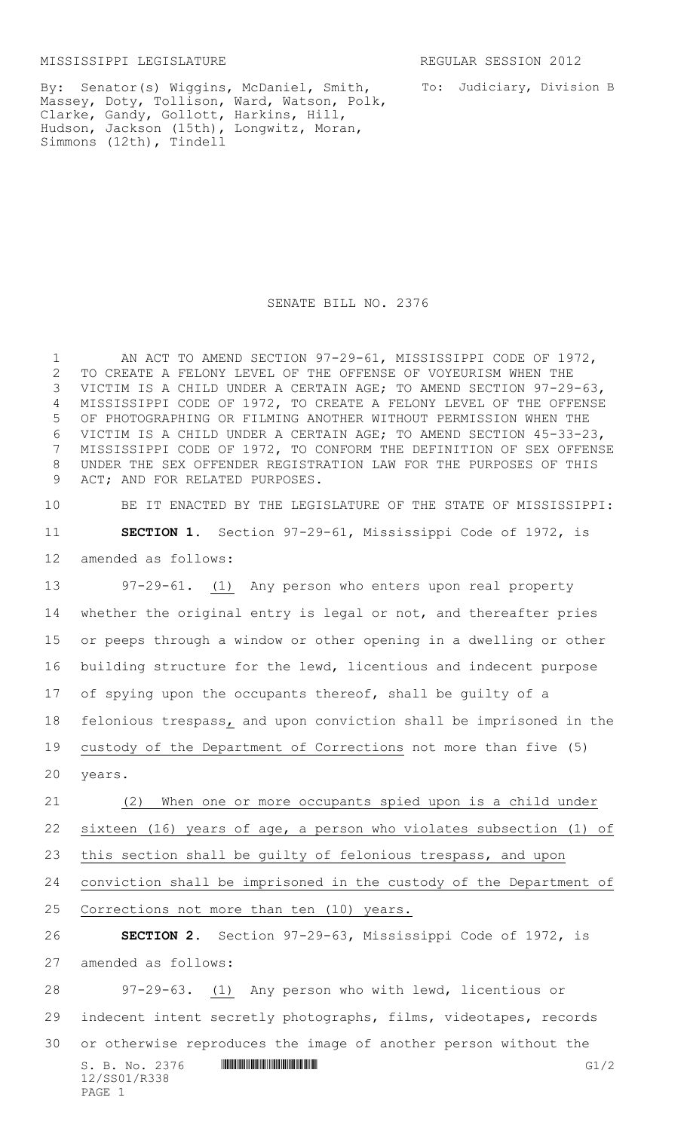MISSISSIPPI LEGISLATURE REGULAR SESSION 2012

To: Judiciary, Division B

By: Senator(s) Wiggins, McDaniel, Smith, Massey, Doty, Tollison, Ward, Watson, Polk, Clarke, Gandy, Gollott, Harkins, Hill, Hudson, Jackson (15th), Longwitz, Moran, Simmons (12th), Tindell

## SENATE BILL NO. 2376

1 AN ACT TO AMEND SECTION 97-29-61, MISSISSIPPI CODE OF 1972, TO CREATE A FELONY LEVEL OF THE OFFENSE OF VOYEURISM WHEN THE VICTIM IS A CHILD UNDER A CERTAIN AGE; TO AMEND SECTION 97-29-63, MISSISSIPPI CODE OF 1972, TO CREATE A FELONY LEVEL OF THE OFFENSE OF PHOTOGRAPHING OR FILMING ANOTHER WITHOUT PERMISSION WHEN THE VICTIM IS A CHILD UNDER A CERTAIN AGE; TO AMEND SECTION 45-33-23, MISSISSIPPI CODE OF 1972, TO CONFORM THE DEFINITION OF SEX OFFENSE UNDER THE SEX OFFENDER REGISTRATION LAW FOR THE PURPOSES OF THIS ACT; AND FOR RELATED PURPOSES.

 BE IT ENACTED BY THE LEGISLATURE OF THE STATE OF MISSISSIPPI: **SECTION 1.** Section 97-29-61, Mississippi Code of 1972, is amended as follows:

 97-29-61. (1) Any person who enters upon real property whether the original entry is legal or not, and thereafter pries or peeps through a window or other opening in a dwelling or other building structure for the lewd, licentious and indecent purpose of spying upon the occupants thereof, shall be guilty of a felonious trespass, and upon conviction shall be imprisoned in the custody of the Department of Corrections not more than five (5) years.

 (2) When one or more occupants spied upon is a child under sixteen (16) years of age, a person who violates subsection (1) of this section shall be guilty of felonious trespass, and upon conviction shall be imprisoned in the custody of the Department of Corrections not more than ten (10) years.

 **SECTION 2.** Section 97-29-63, Mississippi Code of 1972, is amended as follows: 97-29-63. (1) Any person who with lewd, licentious or indecent intent secretly photographs, films, videotapes, records

S. B. No. 2376 **\*\*\* A SECONDEN SECONDENT SECONDENT SECONDENT SECONDENT SECONDENT SECONDENT SECONDENT SECONDENT SECONDENT SECONDENT SECONDENT SECONDENT SECONDENT SECONDENT SECONDENT SECONDENT SECONDENT SECONDENT SECONDENT S** 12/SS01/R338 PAGE 1 or otherwise reproduces the image of another person without the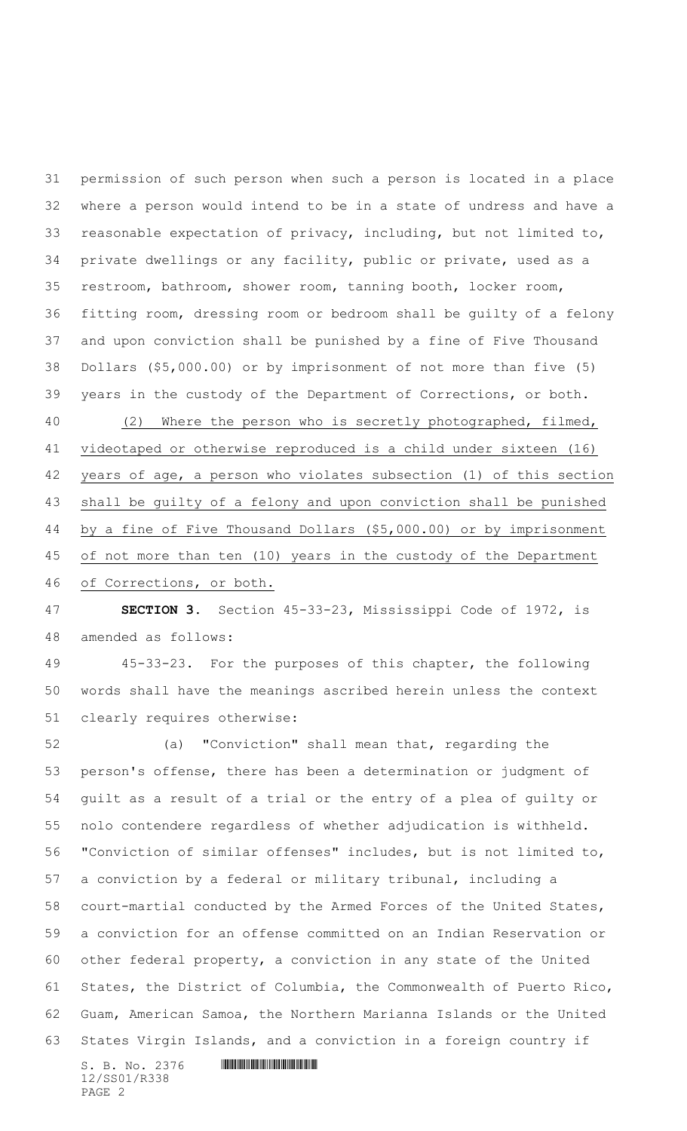permission of such person when such a person is located in a place where a person would intend to be in a state of undress and have a reasonable expectation of privacy, including, but not limited to, private dwellings or any facility, public or private, used as a restroom, bathroom, shower room, tanning booth, locker room, fitting room, dressing room or bedroom shall be guilty of a felony and upon conviction shall be punished by a fine of Five Thousand Dollars (\$5,000.00) or by imprisonment of not more than five (5) years in the custody of the Department of Corrections, or both.

 (2) Where the person who is secretly photographed, filmed, videotaped or otherwise reproduced is a child under sixteen (16) years of age, a person who violates subsection (1) of this section shall be guilty of a felony and upon conviction shall be punished by a fine of Five Thousand Dollars (\$5,000.00) or by imprisonment of not more than ten (10) years in the custody of the Department of Corrections, or both.

 **SECTION 3.** Section 45-33-23, Mississippi Code of 1972, is amended as follows:

 45-33-23. For the purposes of this chapter, the following words shall have the meanings ascribed herein unless the context clearly requires otherwise:

 (a) "Conviction" shall mean that, regarding the person's offense, there has been a determination or judgment of guilt as a result of a trial or the entry of a plea of guilty or nolo contendere regardless of whether adjudication is withheld. "Conviction of similar offenses" includes, but is not limited to, a conviction by a federal or military tribunal, including a court-martial conducted by the Armed Forces of the United States, a conviction for an offense committed on an Indian Reservation or other federal property, a conviction in any state of the United States, the District of Columbia, the Commonwealth of Puerto Rico, Guam, American Samoa, the Northern Marianna Islands or the United States Virgin Islands, and a conviction in a foreign country if

S. B. No. 2376 **. NATION CONTINUES.** 12/SS01/R338 PAGE 2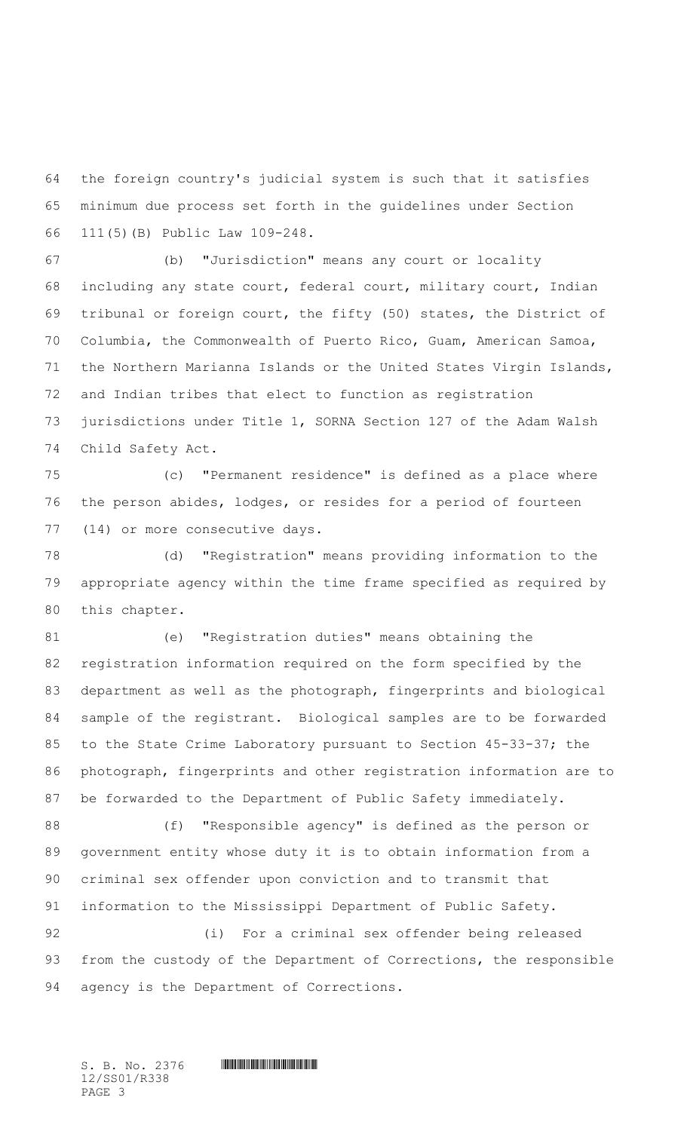the foreign country's judicial system is such that it satisfies minimum due process set forth in the guidelines under Section 111(5)(B) Public Law 109-248.

 (b) "Jurisdiction" means any court or locality including any state court, federal court, military court, Indian tribunal or foreign court, the fifty (50) states, the District of Columbia, the Commonwealth of Puerto Rico, Guam, American Samoa, the Northern Marianna Islands or the United States Virgin Islands, and Indian tribes that elect to function as registration jurisdictions under Title 1, SORNA Section 127 of the Adam Walsh Child Safety Act.

 (c) "Permanent residence" is defined as a place where the person abides, lodges, or resides for a period of fourteen (14) or more consecutive days.

 (d) "Registration" means providing information to the appropriate agency within the time frame specified as required by this chapter.

 (e) "Registration duties" means obtaining the registration information required on the form specified by the department as well as the photograph, fingerprints and biological sample of the registrant. Biological samples are to be forwarded to the State Crime Laboratory pursuant to Section 45-33-37; the photograph, fingerprints and other registration information are to be forwarded to the Department of Public Safety immediately.

 (f) "Responsible agency" is defined as the person or government entity whose duty it is to obtain information from a criminal sex offender upon conviction and to transmit that information to the Mississippi Department of Public Safety.

 (i) For a criminal sex offender being released 93 from the custody of the Department of Corrections, the responsible agency is the Department of Corrections.

12/SS01/R338 PAGE 3

S. B. No. 2376 **... SECONDER SPECIFICATION**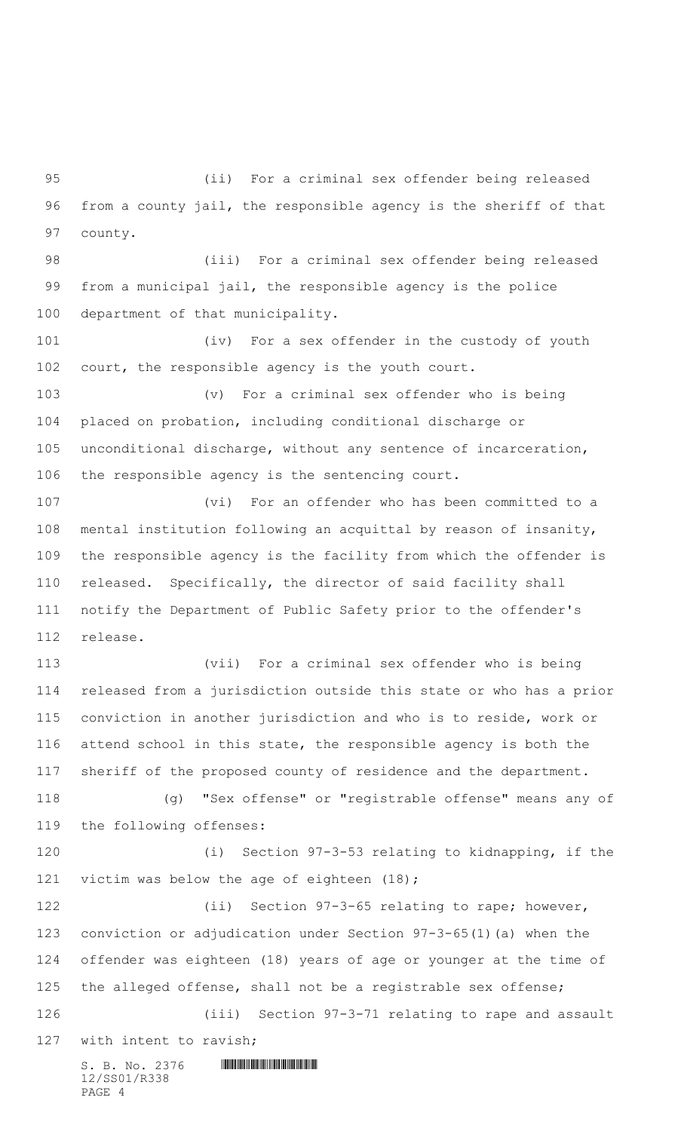(ii) For a criminal sex offender being released from a county jail, the responsible agency is the sheriff of that county.

 (iii) For a criminal sex offender being released from a municipal jail, the responsible agency is the police department of that municipality.

 (iv) For a sex offender in the custody of youth court, the responsible agency is the youth court.

 (v) For a criminal sex offender who is being placed on probation, including conditional discharge or unconditional discharge, without any sentence of incarceration, the responsible agency is the sentencing court.

 (vi) For an offender who has been committed to a mental institution following an acquittal by reason of insanity, the responsible agency is the facility from which the offender is released. Specifically, the director of said facility shall notify the Department of Public Safety prior to the offender's release.

 (vii) For a criminal sex offender who is being released from a jurisdiction outside this state or who has a prior conviction in another jurisdiction and who is to reside, work or attend school in this state, the responsible agency is both the sheriff of the proposed county of residence and the department. (g) "Sex offense" or "registrable offense" means any of the following offenses:

 (i) Section 97-3-53 relating to kidnapping, if the 121 victim was below the age of eighteen (18);

 (ii) Section 97-3-65 relating to rape; however, conviction or adjudication under Section 97-3-65(1)(a) when the offender was eighteen (18) years of age or younger at the time of the alleged offense, shall not be a registrable sex offense; (iii) Section 97-3-71 relating to rape and assault

127 with intent to ravish;

PAGE 4

 $S. B. No. 2376$  **INSISTENTIAL SET AND ALL PROPERTY** 12/SS01/R338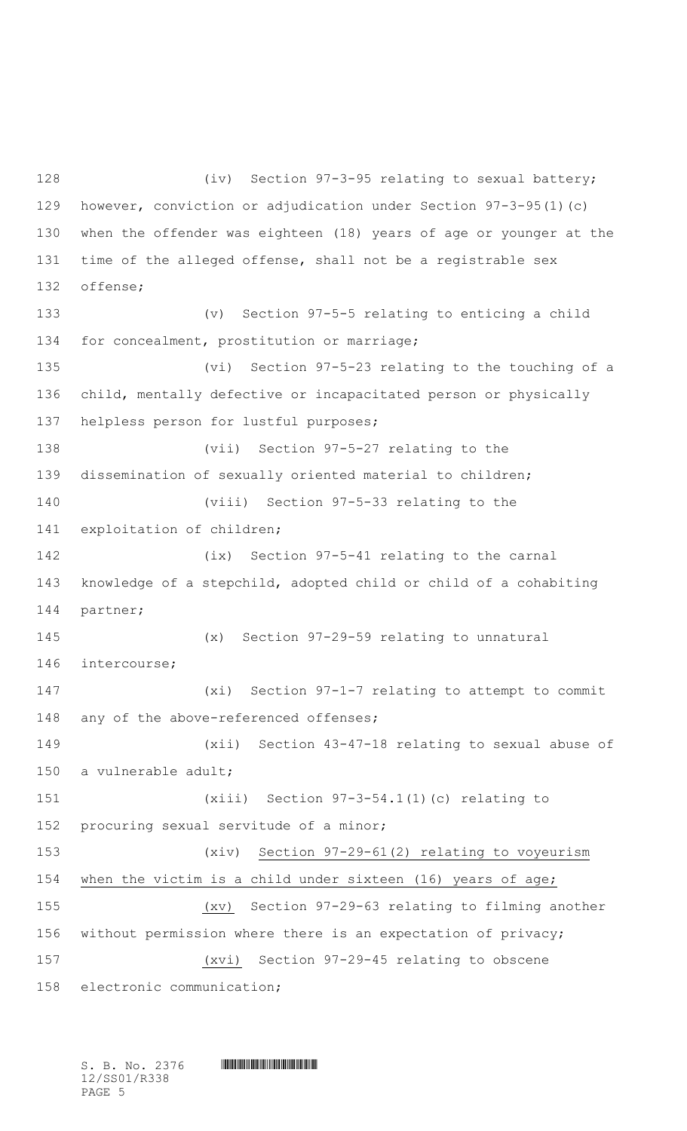128 (iv) Section 97-3-95 relating to sexual battery; however, conviction or adjudication under Section 97-3-95(1)(c) when the offender was eighteen (18) years of age or younger at the time of the alleged offense, shall not be a registrable sex offense; (v) Section 97-5-5 relating to enticing a child for concealment, prostitution or marriage; (vi) Section 97-5-23 relating to the touching of a child, mentally defective or incapacitated person or physically helpless person for lustful purposes; (vii) Section 97-5-27 relating to the dissemination of sexually oriented material to children; (viii) Section 97-5-33 relating to the exploitation of children; (ix) Section 97-5-41 relating to the carnal knowledge of a stepchild, adopted child or child of a cohabiting partner; (x) Section 97-29-59 relating to unnatural intercourse; (xi) Section 97-1-7 relating to attempt to commit any of the above-referenced offenses; (xii) Section 43-47-18 relating to sexual abuse of a vulnerable adult; (xiii) Section 97-3-54.1(1)(c) relating to procuring sexual servitude of a minor; (xiv) Section 97-29-61(2) relating to voyeurism when the victim is a child under sixteen (16) years of age; (xv) Section 97-29-63 relating to filming another without permission where there is an expectation of privacy; (xvi) Section 97-29-45 relating to obscene electronic communication;